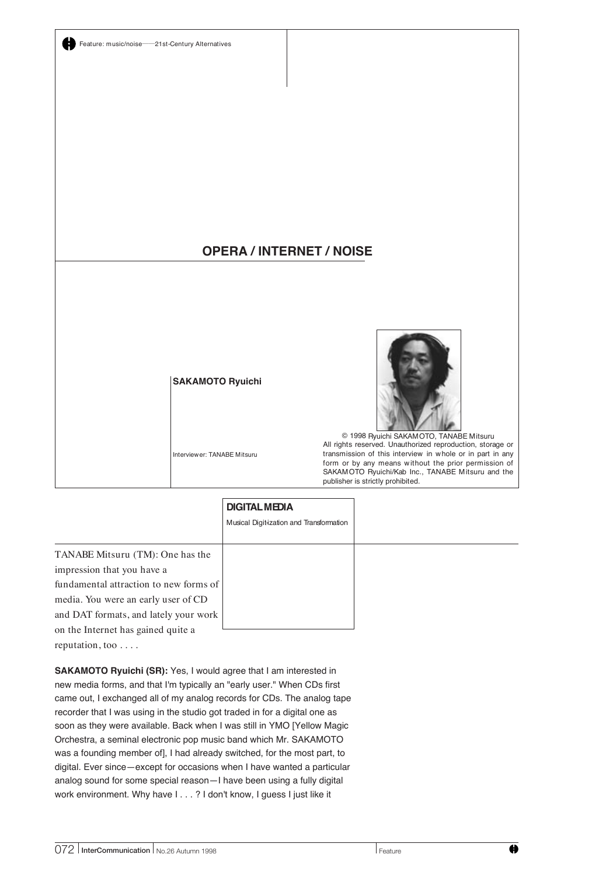

## TANABE Mitsuru (TM): One has the **DIGITAL MEDIA** Musical Digitization and Transformation

impression that you have a fundamental attraction to new forms of media. You were an early user of CD and DAT formats, and lately your work on the Internet has gained quite a reputation, too . . . .

**SAKAMOTO Ryuichi (SR):** Yes, I would agree that I am interested in new media forms, and that I'm typically an "early user." When CDs first came out, I exchanged all of my analog records for CDs. The analog tape recorder that I was using in the studio got traded in for a digital one as soon as they were available. Back when I was still in YMO [Yellow Magic Orchestra, a seminal electronic pop music band which Mr. SAKAMOTO was a founding member of], I had already switched, for the most part, to digital. Ever since—except for occasions when I have wanted a particular analog sound for some special reason—I have been using a fully digital work environment. Why have I...? I don't know, I guess I just like it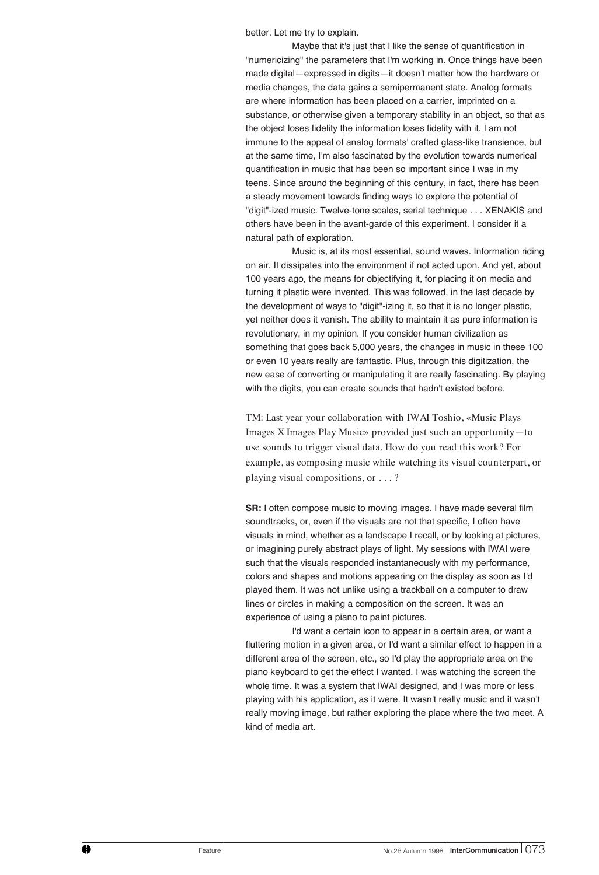better. Let me try to explain.

Maybe that it's just that I like the sense of quantification in "numericizing" the parameters that I'm working in. Once things have been made digital—expressed in digits—it doesn't matter how the hardware or media changes, the data gains a semipermanent state. Analog formats are where information has been placed on a carrier, imprinted on a substance, or otherwise given a temporary stability in an object, so that as the object loses fidelity the information loses fidelity with it. I am not immune to the appeal of analog formats' crafted glass-like transience, but at the same time, I'm also fascinated by the evolution towards numerical quantification in music that has been so important since I was in my teens. Since around the beginning of this century, in fact, there has been a steady movement towards finding ways to explore the potential of "digit"-ized music. Twelve-tone scales, serial technique . . . XENAKIS and others have been in the avant-garde of this experiment. I consider it a natural path of exploration.

Music is, at its most essential, sound waves. Information riding on air. It dissipates into the environment if not acted upon. And yet, about 100 years ago, the means for objectifying it, for placing it on media and turning it plastic were invented. This was followed, in the last decade by the development of ways to "digit"-izing it, so that it is no longer plastic, yet neither does it vanish. The ability to maintain it as pure information is revolutionary, in my opinion. If you consider human civilization as something that goes back 5,000 years, the changes in music in these 100 or even 10 years really are fantastic. Plus, through this digitization, the new ease of converting or manipulating it are really fascinating. By playing with the digits, you can create sounds that hadn't existed before.

TM: Last year your collaboration with IWAI Toshio, «Music Plays Images X Images Play Music» provided just such an opportunity—to use sounds to trigger visual data. How do you read this work? For example, as composing music while watching its visual counterpart, or playing visual compositions, or . . . ?

**SR:** I often compose music to moving images. I have made several film soundtracks, or, even if the visuals are not that specific, I often have visuals in mind, whether as a landscape I recall, or by looking at pictures, or imagining purely abstract plays of light. My sessions with IWAI were such that the visuals responded instantaneously with my performance, colors and shapes and motions appearing on the display as soon as I'd played them. It was not unlike using a trackball on a computer to draw lines or circles in making a composition on the screen. It was an experience of using a piano to paint pictures.

I'd want a certain icon to appear in a certain area, or want a fluttering motion in a given area, or I'd want a similar effect to happen in a different area of the screen, etc., so I'd play the appropriate area on the piano keyboard to get the effect I wanted. I was watching the screen the whole time. It was a system that IWAI designed, and I was more or less playing with his application, as it were. It wasn't really music and it wasn't really moving image, but rather exploring the place where the two meet. A kind of media art.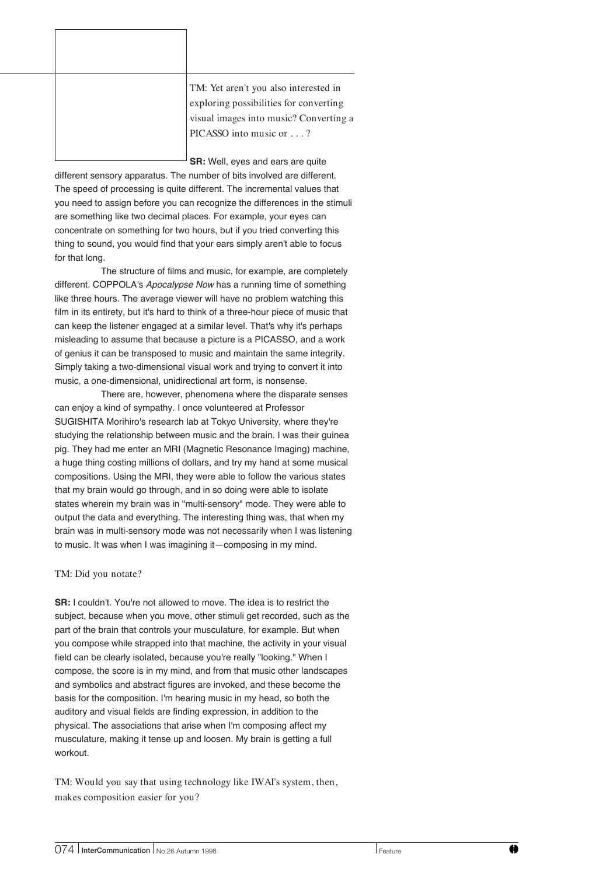| TM: Yet aren't you also interested in<br>exploring possibilities for converting<br>visual images into music? Converting a<br>PICASSO into music or? |
|-----------------------------------------------------------------------------------------------------------------------------------------------------|

**SR:** Well, eyes and ears are quite different sensory apparatus. The number of bits involved are different. The speed of processing is quite different. The incremental values that you need to assign before you can recognize the differences in the stimuli are something like two decimal places. For example, your eyes can concentrate on something for two hours, but if you tried converting this thing to sound, you would find that your ears simply aren't able to focus for that long.

The structure of films and music, for example, are completely different. COPPOLA's Apocalypse Now has a running time of something like three hours. The average viewer will have no problem watching this film in its entirety, but it's hard to think of a three-hour piece of music that can keep the listener engaged at a similar level. That's why it's perhaps misleading to assume that because a picture is a PICASSO, and a work of genius it can be transposed to music and maintain the same integrity. Simply taking a two-dimensional visual work and trying to convert it into music, a one-dimensional, unidirectional art form, is nonsense.

There are, however, phenomena where the disparate senses can enjoy a kind of sympathy. I once volunteered at Professor SUGISHITA Morihiro's research lab at Tokyo University, where they're studying the relationship between music and the brain. I was their guinea pig. They had me enter an MRI (Magnetic Resonance Imaging) machine, a huge thing costing millions of dollars, and try my hand at some musical compositions. Using the MRI, they were able to follow the various states that my brain would go through, and in so doing were able to isolate states wherein my brain was in "multi-sensory" mode. They were able to output the data and everything. The interesting thing was, that when my brain was in multi-sensory mode was not necessarily when I was listening to music. It was when I was imagining it—composing in my mind.

## TM: Did you notate?

**SR:** I couldn't. You're not allowed to move. The idea is to restrict the subject, because when you move, other stimuli get recorded, such as the part of the brain that controls your musculature, for example. But when you compose while strapped into that machine, the activity in your visual field can be clearly isolated, because you're really "looking." When I compose, the score is in my mind, and from that music other landscapes and symbolics and abstract figures are invoked, and these become the basis for the composition. I'm hearing music in my head, so both the auditory and visual fields are finding expression, in addition to the physical. The associations that arise when I'm composing affect my musculature, making it tense up and loosen. My brain is getting a full workout.

TM: Would you say that using technology like IWAI's system, then, makes composition easier for you?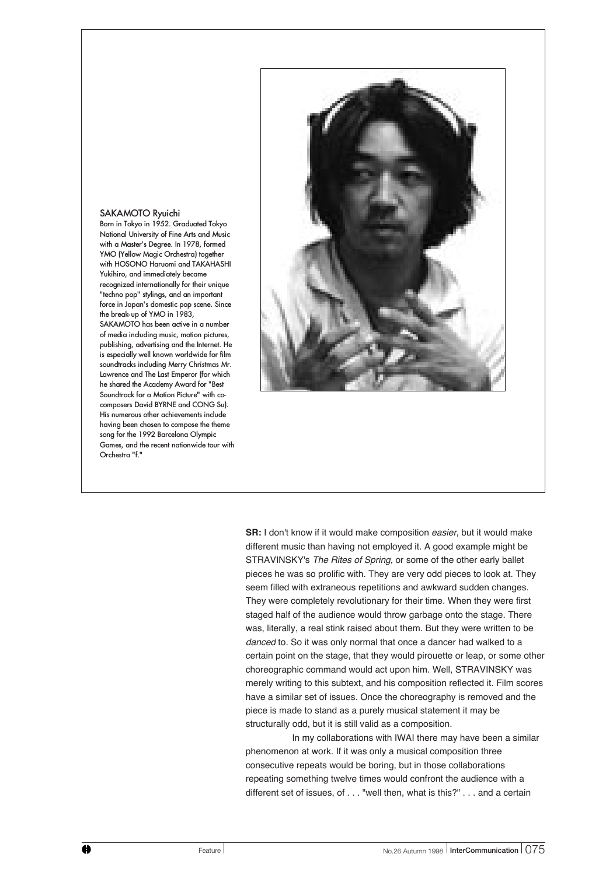## SAKAMOTO Ryuichi

Orchestra "f."

Born in Tokyo in 1952. Graduated Tokyo National University of Fine Arts and Music with a Master's Degree. In 1978, formed YMO (Yellow Magic Orchestra) together with HOSONO Haruomi and TAKAHASHI Yukihiro, and immediately became recognized internationally for their unique "techno pop" stylings, and an important force in Japan's domestic pop scene. Since the break-up of YMO in 1983, SAKAMOTO has been active in a number of media including music, motion pictures, publishing, advertising and the Internet. He is especially well known worldwide for film soundtracks including Merry Christmas Mr. Lawrence and The Last Emperor (for which he shared the Academy Award for "Best Soundtrack for a Motion Picture" with cocomposers David BYRNE and CONG Su). His numerous other achievements include having been chosen to compose the theme song for the 1992 Barcelona Olympic Games, and the recent nationwide tour with



**SR:** I don't know if it would make composition easier, but it would make different music than having not employed it. A good example might be STRAVINSKY's The Rites of Spring, or some of the other early ballet pieces he was so prolific with. They are very odd pieces to look at. They seem filled with extraneous repetitions and awkward sudden changes. They were completely revolutionary for their time. When they were first staged half of the audience would throw garbage onto the stage. There was, literally, a real stink raised about them. But they were written to be danced to. So it was only normal that once a dancer had walked to a certain point on the stage, that they would pirouette or leap, or some other choreographic command would act upon him. Well, STRAVINSKY was merely writing to this subtext, and his composition reflected it. Film scores have a similar set of issues. Once the choreography is removed and the piece is made to stand as a purely musical statement it may be structurally odd, but it is still valid as a composition.

In my collaborations with IWAI there may have been a similar phenomenon at work. If it was only a musical composition three consecutive repeats would be boring, but in those collaborations repeating something twelve times would confront the audience with a different set of issues, of . . . "well then, what is this?" . . . and a certain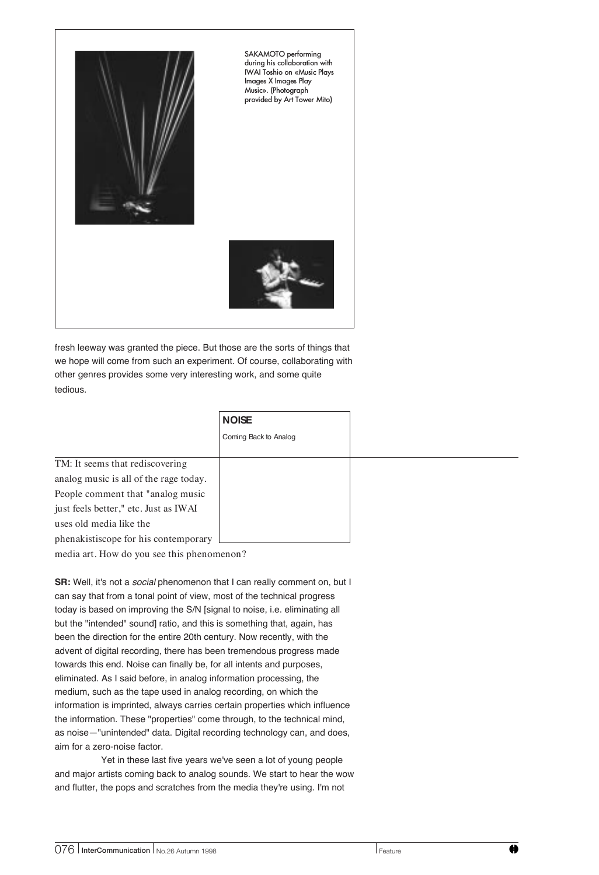

fresh leeway was granted the piece. But those are the sorts of things that we hope will come from such an experiment. Of course, collaborating with other genres provides some very interesting work, and some quite tedious.

|                                        | <b>NOISE</b>          |
|----------------------------------------|-----------------------|
|                                        | Coming Back to Analog |
|                                        |                       |
| TM: It seems that rediscovering        |                       |
| analog music is all of the rage today. |                       |
| People comment that "analog music"     |                       |
| just feels better," etc. Just as IWAI  |                       |
| uses old media like the                |                       |
| phenakistiscope for his contemporary   |                       |

media art. How do you see this phenomenon?

**SR:** Well, it's not a *social* phenomenon that I can really comment on, but I can say that from a tonal point of view, most of the technical progress today is based on improving the S/N [signal to noise, i.e. eliminating all but the "intended" sound] ratio, and this is something that, again, has been the direction for the entire 20th century. Now recently, with the advent of digital recording, there has been tremendous progress made towards this end. Noise can finally be, for all intents and purposes, eliminated. As I said before, in analog information processing, the medium, such as the tape used in analog recording, on which the information is imprinted, always carries certain properties which influence the information. These "properties" come through, to the technical mind, as noise—"unintended" data. Digital recording technology can, and does, aim for a zero-noise factor.

Yet in these last five years we've seen a lot of young people and major artists coming back to analog sounds. We start to hear the wow and flutter, the pops and scratches from the media they're using. I'm not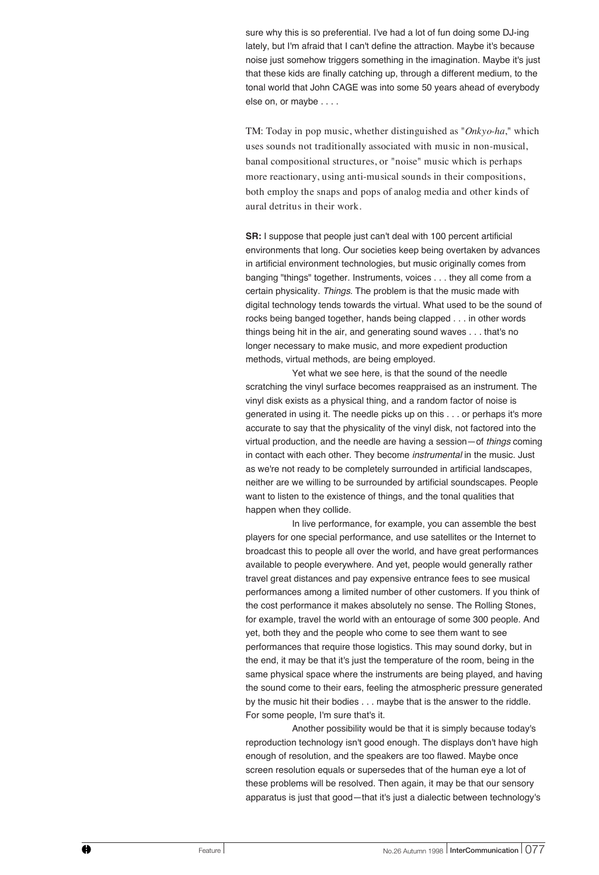sure why this is so preferential. I've had a lot of fun doing some DJ-ing lately, but I'm afraid that I can't define the attraction. Maybe it's because noise just somehow triggers something in the imagination. Maybe it's just that these kids are finally catching up, through a different medium, to the tonal world that John CAGE was into some 50 years ahead of everybody else on, or maybe . . . .

TM: Today in pop music, whether distinguished as "*Onkyo-ha*," which uses sounds not traditionally associated with music in non-musical, banal compositional structures, or "noise" music which is perhaps more reactionary, using anti-musical sounds in their compositions, both employ the snaps and pops of analog media and other kinds of aural detritus in their work.

**SR:** I suppose that people just can't deal with 100 percent artificial environments that long. Our societies keep being overtaken by advances in artificial environment technologies, but music originally comes from banging "things" together. Instruments, voices . . . they all come from a certain physicality. Things. The problem is that the music made with digital technology tends towards the virtual. What used to be the sound of rocks being banged together, hands being clapped . . . in other words things being hit in the air, and generating sound waves . . . that's no longer necessary to make music, and more expedient production methods, virtual methods, are being employed.

Yet what we see here, is that the sound of the needle scratching the vinyl surface becomes reappraised as an instrument. The vinyl disk exists as a physical thing, and a random factor of noise is generated in using it. The needle picks up on this . . . or perhaps it's more accurate to say that the physicality of the vinyl disk, not factored into the virtual production, and the needle are having a session—of things coming in contact with each other. They become *instrumental* in the music. Just as we're not ready to be completely surrounded in artificial landscapes, neither are we willing to be surrounded by artificial soundscapes. People want to listen to the existence of things, and the tonal qualities that happen when they collide.

In live performance, for example, you can assemble the best players for one special performance, and use satellites or the Internet to broadcast this to people all over the world, and have great performances available to people everywhere. And yet, people would generally rather travel great distances and pay expensive entrance fees to see musical performances among a limited number of other customers. If you think of the cost performance it makes absolutely no sense. The Rolling Stones, for example, travel the world with an entourage of some 300 people. And yet, both they and the people who come to see them want to see performances that require those logistics. This may sound dorky, but in the end, it may be that it's just the temperature of the room, being in the same physical space where the instruments are being played, and having the sound come to their ears, feeling the atmospheric pressure generated by the music hit their bodies . . . maybe that is the answer to the riddle. For some people, I'm sure that's it.

Another possibility would be that it is simply because today's reproduction technology isn't good enough. The displays don't have high enough of resolution, and the speakers are too flawed. Maybe once screen resolution equals or supersedes that of the human eye a lot of these problems will be resolved. Then again, it may be that our sensory apparatus is just that good—that it's just a dialectic between technology's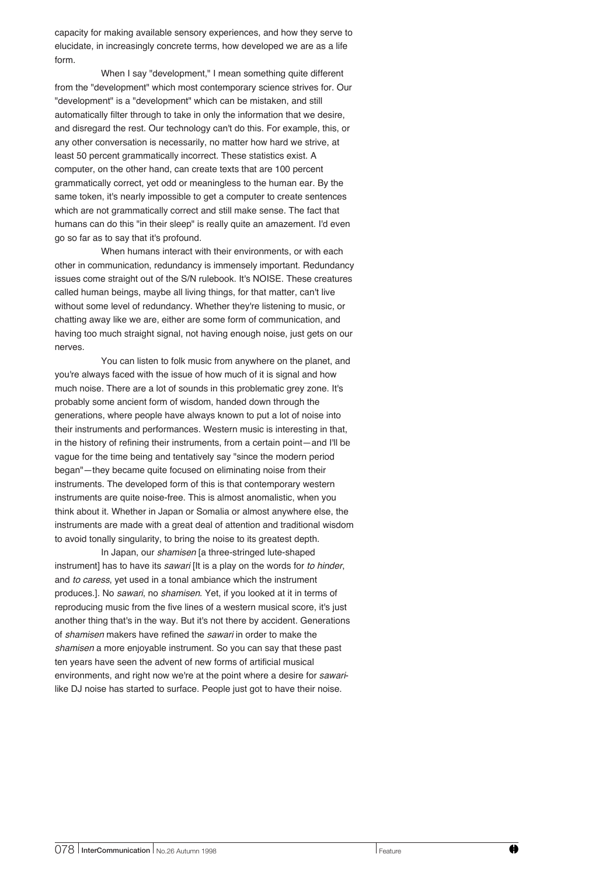capacity for making available sensory experiences, and how they serve to elucidate, in increasingly concrete terms, how developed we are as a life form.

When I say "development," I mean something quite different from the "development" which most contemporary science strives for. Our "development" is a "development" which can be mistaken, and still automatically filter through to take in only the information that we desire, and disregard the rest. Our technology can't do this. For example, this, or any other conversation is necessarily, no matter how hard we strive, at least 50 percent grammatically incorrect. These statistics exist. A computer, on the other hand, can create texts that are 100 percent grammatically correct, yet odd or meaningless to the human ear. By the same token, it's nearly impossible to get a computer to create sentences which are not grammatically correct and still make sense. The fact that humans can do this "in their sleep" is really quite an amazement. I'd even go so far as to say that it's profound.

When humans interact with their environments, or with each other in communication, redundancy is immensely important. Redundancy issues come straight out of the S/N rulebook. It's NOISE. These creatures called human beings, maybe all living things, for that matter, can't live without some level of redundancy. Whether they're listening to music, or chatting away like we are, either are some form of communication, and having too much straight signal, not having enough noise, just gets on our nerves.

You can listen to folk music from anywhere on the planet, and you're always faced with the issue of how much of it is signal and how much noise. There are a lot of sounds in this problematic grey zone. It's probably some ancient form of wisdom, handed down through the generations, where people have always known to put a lot of noise into their instruments and performances. Western music is interesting in that, in the history of refining their instruments, from a certain point—and I'll be vague for the time being and tentatively say "since the modern period began"—they became quite focused on eliminating noise from their instruments. The developed form of this is that contemporary western instruments are quite noise-free. This is almost anomalistic, when you think about it. Whether in Japan or Somalia or almost anywhere else, the instruments are made with a great deal of attention and traditional wisdom to avoid tonally singularity, to bring the noise to its greatest depth.

In Japan, our shamisen [a three-stringed lute-shaped instrument] has to have its sawari [It is a play on the words for to hinder, and to caress, yet used in a tonal ambiance which the instrument produces.]. No sawari, no shamisen. Yet, if you looked at it in terms of reproducing music from the five lines of a western musical score, it's just another thing that's in the way. But it's not there by accident. Generations of shamisen makers have refined the sawari in order to make the shamisen a more enjoyable instrument. So you can say that these past ten years have seen the advent of new forms of artificial musical environments, and right now we're at the point where a desire for sawarilike DJ noise has started to surface. People just got to have their noise.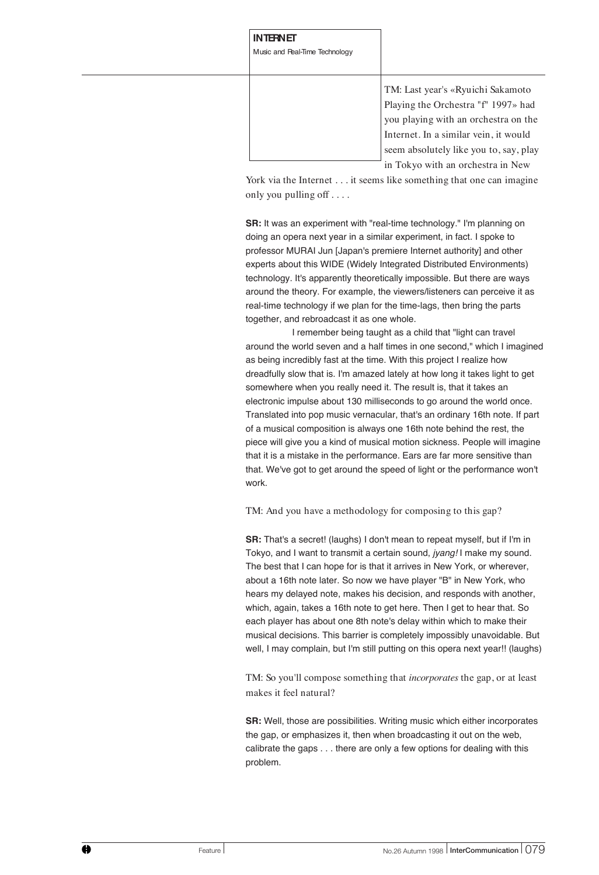**INTERNET** Music and Real-Time Technology

> TM: Last year's «Ryuichi Sakamoto Playing the Orchestra "f" 1997» had you playing with an orchestra on the Internet. In a similar vein, it would seem absolutely like you to, say, play in Tokyo with an orchestra in New

York via the Internet . . . it seems like something that one can imagine only you pulling off . . . .

**SR:** It was an experiment with "real-time technology." I'm planning on doing an opera next year in a similar experiment, in fact. I spoke to professor MURAI Jun [Japan's premiere Internet authority] and other experts about this WIDE (Widely Integrated Distributed Environments) technology. It's apparently theoretically impossible. But there are ways around the theory. For example, the viewers/listeners can perceive it as real-time technology if we plan for the time-lags, then bring the parts together, and rebroadcast it as one whole.

I remember being taught as a child that "light can travel around the world seven and a half times in one second," which I imagined as being incredibly fast at the time. With this project I realize how dreadfully slow that is. I'm amazed lately at how long it takes light to get somewhere when you really need it. The result is, that it takes an electronic impulse about 130 milliseconds to go around the world once. Translated into pop music vernacular, that's an ordinary 16th note. If part of a musical composition is always one 16th note behind the rest, the piece will give you a kind of musical motion sickness. People will imagine that it is a mistake in the performance. Ears are far more sensitive than that. We've got to get around the speed of light or the performance won't work.

TM: And you have a methodology for composing to this gap?

**SR:** That's a secret! (laughs) I don't mean to repeat myself, but if I'm in Tokyo, and I want to transmit a certain sound, jyang! I make my sound. The best that I can hope for is that it arrives in New York, or wherever, about a 16th note later. So now we have player "B" in New York, who hears my delayed note, makes his decision, and responds with another, which, again, takes a 16th note to get here. Then I get to hear that. So each player has about one 8th note's delay within which to make their musical decisions. This barrier is completely impossibly unavoidable. But well, I may complain, but I'm still putting on this opera next year!! (laughs)

TM: So you'll compose something that *incorporates* the gap, or at least makes it feel natural?

**SR:** Well, those are possibilities. Writing music which either incorporates the gap, or emphasizes it, then when broadcasting it out on the web, calibrate the gaps . . . there are only a few options for dealing with this problem.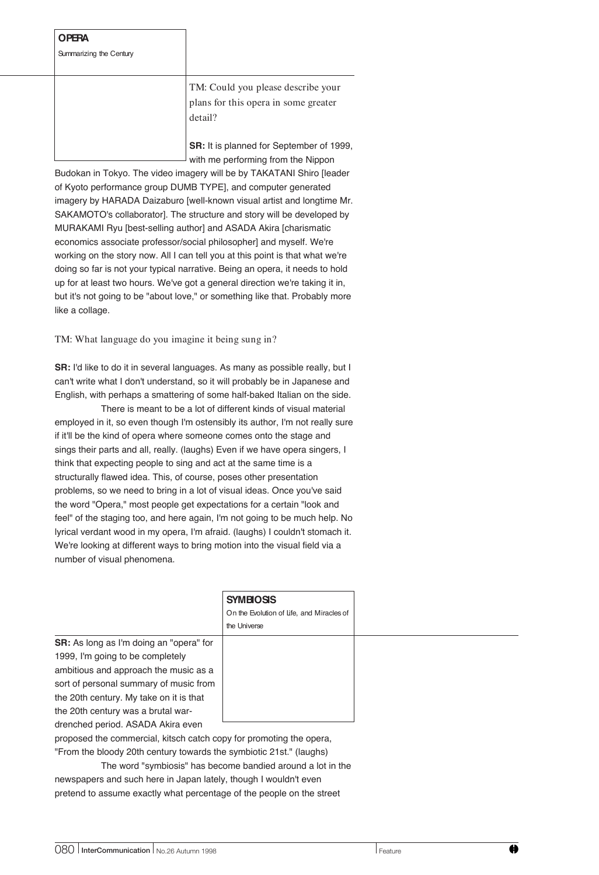## **OPERA**

Summarizing the Century

TM: Could you please describe your plans for this opera in some greater detail?

**SR:** It is planned for September of 1999, with me performing from the Nippon

Budokan in Tokyo. The video imagery will be by TAKATANI Shiro [leader of Kyoto performance group DUMB TYPE], and computer generated imagery by HARADA Daizaburo [well-known visual artist and longtime Mr. SAKAMOTO's collaborator]. The structure and story will be developed by MURAKAMI Ryu [best-selling author] and ASADA Akira [charismatic economics associate professor/social philosopher] and myself. We're working on the story now. All I can tell you at this point is that what we're doing so far is not your typical narrative. Being an opera, it needs to hold up for at least two hours. We've got a general direction we're taking it in, but it's not going to be "about love," or something like that. Probably more like a collage.

TM: What language do you imagine it being sung in?

**SR:** I'd like to do it in several languages. As many as possible really, but I can't write what I don't understand, so it will probably be in Japanese and English, with perhaps a smattering of some half-baked Italian on the side.

There is meant to be a lot of different kinds of visual material employed in it, so even though I'm ostensibly its author, I'm not really sure if it'll be the kind of opera where someone comes onto the stage and sings their parts and all, really. (laughs) Even if we have opera singers, I think that expecting people to sing and act at the same time is a structurally flawed idea. This, of course, poses other presentation problems, so we need to bring in a lot of visual ideas. Once you've said the word "Opera," most people get expectations for a certain "look and feel" of the staging too, and here again, I'm not going to be much help. No lyrical verdant wood in my opera, I'm afraid. (laughs) I couldn't stomach it. We're looking at different ways to bring motion into the visual field via a number of visual phenomena.

|                                                | <b>SYMBIOSIS</b>                          |
|------------------------------------------------|-------------------------------------------|
|                                                | On the Evolution of Life, and Miracles of |
|                                                | the Universe                              |
| <b>SR:</b> As long as I'm doing an "opera" for |                                           |
| 1999. I'm going to be completely               |                                           |
| ambitious and approach the music as a          |                                           |
| sort of personal summary of music from         |                                           |
| the 20th century. My take on it is that        |                                           |
| the 20th century was a brutal war-             |                                           |
| drenched period. ASADA Akira even              |                                           |

proposed the commercial, kitsch catch copy for promoting the opera, "From the bloody 20th century towards the symbiotic 21st." (laughs)

The word "symbiosis" has become bandied around a lot in the newspapers and such here in Japan lately, though I wouldn't even pretend to assume exactly what percentage of the people on the street

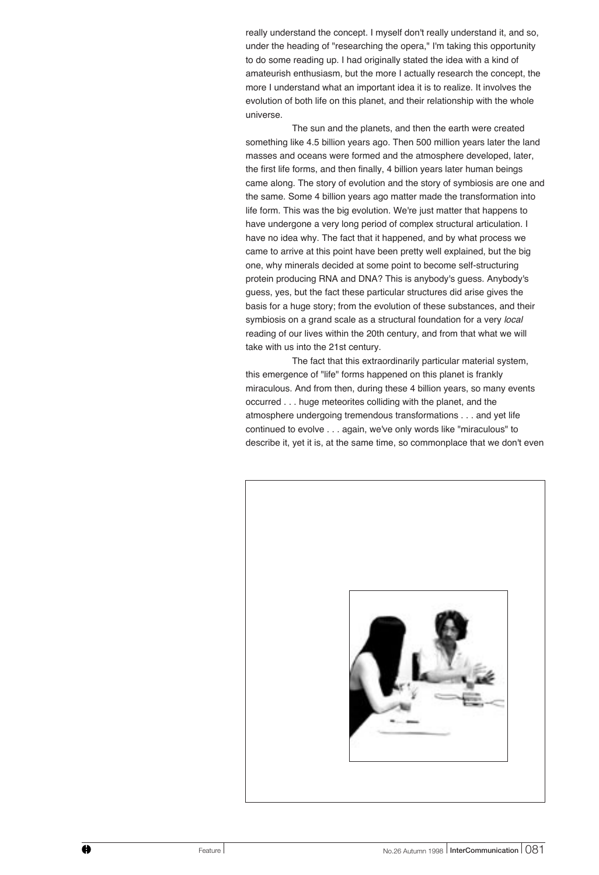really understand the concept. I myself don't really understand it, and so, under the heading of "researching the opera," I'm taking this opportunity to do some reading up. I had originally stated the idea with a kind of amateurish enthusiasm, but the more I actually research the concept, the more I understand what an important idea it is to realize. It involves the evolution of both life on this planet, and their relationship with the whole universe.

The sun and the planets, and then the earth were created something like 4.5 billion years ago. Then 500 million years later the land masses and oceans were formed and the atmosphere developed, later, the first life forms, and then finally, 4 billion years later human beings came along. The story of evolution and the story of symbiosis are one and the same. Some 4 billion years ago matter made the transformation into life form. This was the big evolution. We're just matter that happens to have undergone a very long period of complex structural articulation. I have no idea why. The fact that it happened, and by what process we came to arrive at this point have been pretty well explained, but the big one, why minerals decided at some point to become self-structuring protein producing RNA and DNA? This is anybody's guess. Anybody's guess, yes, but the fact these particular structures did arise gives the basis for a huge story; from the evolution of these substances, and their symbiosis on a grand scale as a structural foundation for a very local reading of our lives within the 20th century, and from that what we will take with us into the 21st century.

The fact that this extraordinarily particular material system, this emergence of "life" forms happened on this planet is frankly miraculous. And from then, during these 4 billion years, so many events occurred . . . huge meteorites colliding with the planet, and the atmosphere undergoing tremendous transformations . . . and yet life continued to evolve . . . again, we've only words like "miraculous" to describe it, yet it is, at the same time, so commonplace that we don't even

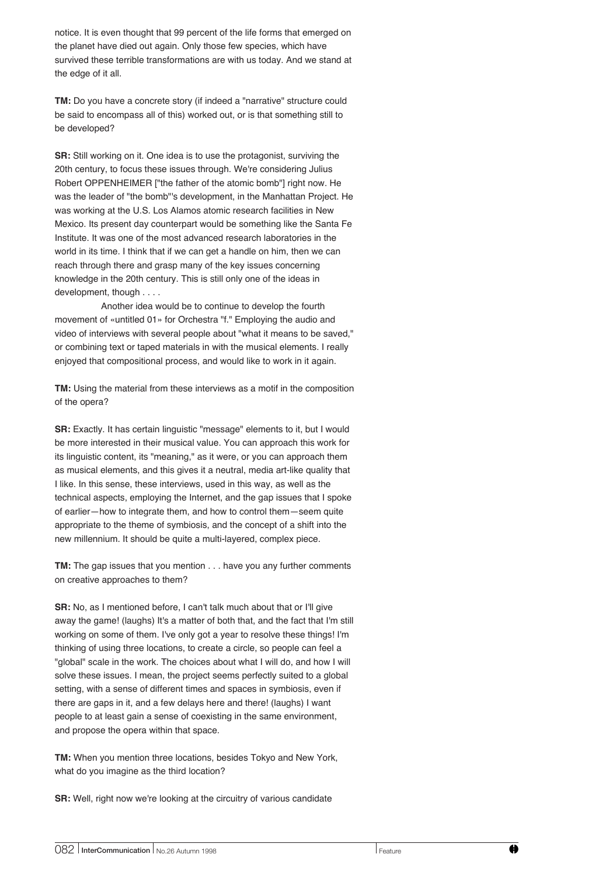notice. It is even thought that 99 percent of the life forms that emerged on the planet have died out again. Only those few species, which have survived these terrible transformations are with us today. And we stand at the edge of it all.

**TM:** Do you have a concrete story (if indeed a "narrative" structure could be said to encompass all of this) worked out, or is that something still to be developed?

**SR:** Still working on it. One idea is to use the protagonist, surviving the 20th century, to focus these issues through. We're considering Julius Robert OPPENHEIMER ["the father of the atomic bomb"] right now. He was the leader of "the bomb"'s development, in the Manhattan Project. He was working at the U.S. Los Alamos atomic research facilities in New Mexico. Its present day counterpart would be something like the Santa Fe Institute. It was one of the most advanced research laboratories in the world in its time. I think that if we can get a handle on him, then we can reach through there and grasp many of the key issues concerning knowledge in the 20th century. This is still only one of the ideas in development, though . . . .

Another idea would be to continue to develop the fourth movement of «untitled 01» for Orchestra "f." Employing the audio and video of interviews with several people about "what it means to be saved," or combining text or taped materials in with the musical elements. I really enjoyed that compositional process, and would like to work in it again.

**TM:** Using the material from these interviews as a motif in the composition of the opera?

**SR:** Exactly. It has certain linguistic "message" elements to it, but I would be more interested in their musical value. You can approach this work for its linguistic content, its "meaning," as it were, or you can approach them as musical elements, and this gives it a neutral, media art-like quality that I like. In this sense, these interviews, used in this way, as well as the technical aspects, employing the Internet, and the gap issues that I spoke of earlier—how to integrate them, and how to control them—seem quite appropriate to the theme of symbiosis, and the concept of a shift into the new millennium. It should be quite a multi-layered, complex piece.

**TM:** The gap issues that you mention . . . have you any further comments on creative approaches to them?

**SR:** No, as I mentioned before, I can't talk much about that or I'll give away the game! (laughs) It's a matter of both that, and the fact that I'm still working on some of them. I've only got a year to resolve these things! I'm thinking of using three locations, to create a circle, so people can feel a "global" scale in the work. The choices about what I will do, and how I will solve these issues. I mean, the project seems perfectly suited to a global setting, with a sense of different times and spaces in symbiosis, even if there are gaps in it, and a few delays here and there! (laughs) I want people to at least gain a sense of coexisting in the same environment, and propose the opera within that space.

**TM:** When you mention three locations, besides Tokyo and New York, what do you imagine as the third location?

**SR:** Well, right now we're looking at the circuitry of various candidate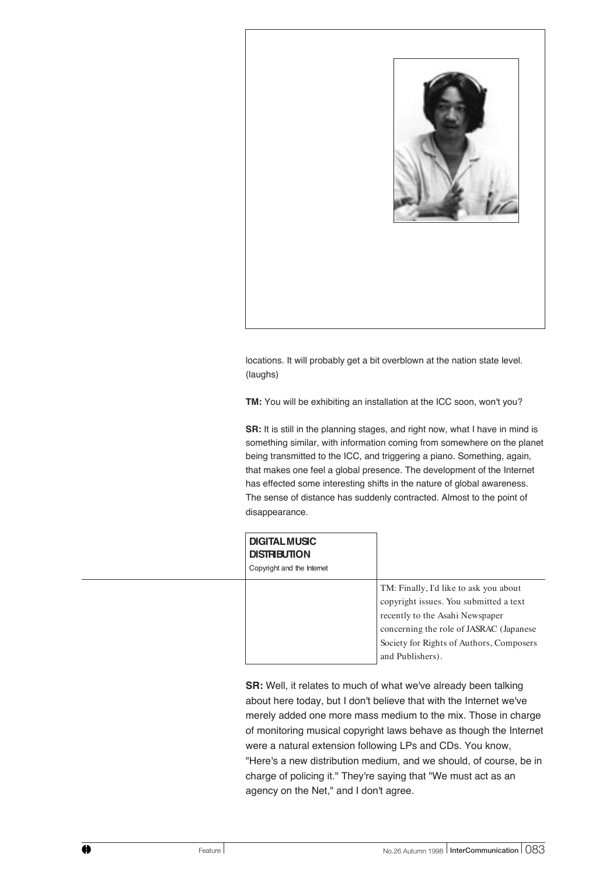

locations. It will probably get a bit overblown at the nation state level. (laughs)

**TM:** You will be exhibiting an installation at the ICC soon, won't you?

**SR:** It is still in the planning stages, and right now, what I have in mind is something similar, with information coming from somewhere on the planet being transmitted to the ICC, and triggering a piano. Something, again, that makes one feel a global presence. The development of the Internet has effected some interesting shifts in the nature of global awareness. The sense of distance has suddenly contracted. Almost to the point of disappearance.

| <b>DIGITAL MUSIC</b><br><b>DISTRIBUTION</b><br>Copyright and the Internet |                                                                                                                                                                                                                                 |
|---------------------------------------------------------------------------|---------------------------------------------------------------------------------------------------------------------------------------------------------------------------------------------------------------------------------|
|                                                                           | TM: Finally, I'd like to ask you about<br>copyright issues. You submitted a text<br>recently to the Asahi Newspaper<br>concerning the role of JASRAC (Japanese)<br>Society for Rights of Authors, Composers<br>and Publishers). |

**SR:** Well, it relates to much of what we've already been talking about here today, but I don't believe that with the Internet we've merely added one more mass medium to the mix. Those in charge of monitoring musical copyright laws behave as though the Internet were a natural extension following LPs and CDs. You know, "Here's a new distribution medium, and we should, of course, be in charge of policing it." They're saying that "We must act as an agency on the Net," and I don't agree.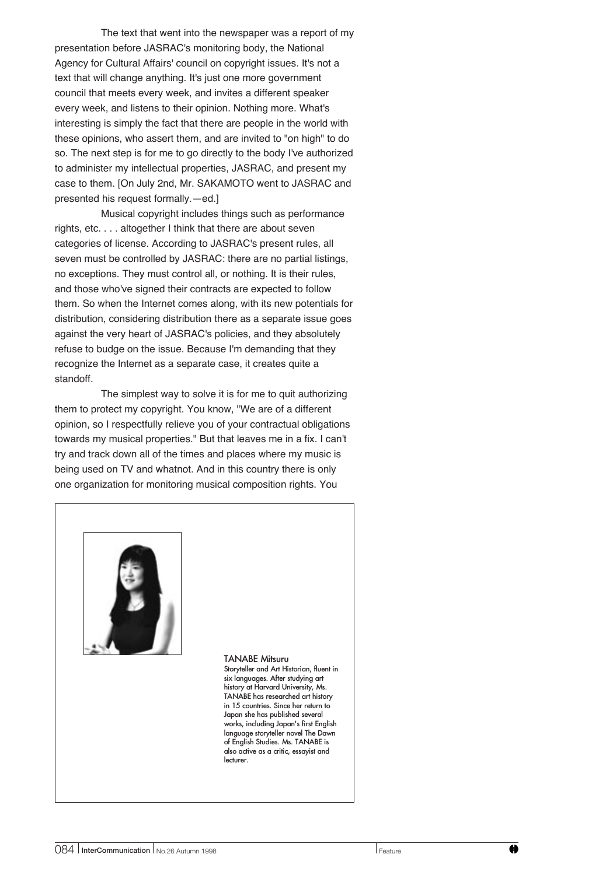The text that went into the newspaper was a report of my presentation before JASRAC's monitoring body, the National Agency for Cultural Affairs' council on copyright issues. It's not a text that will change anything. It's just one more government council that meets every week, and invites a different speaker every week, and listens to their opinion. Nothing more. What's interesting is simply the fact that there are people in the world with these opinions, who assert them, and are invited to "on high" to do so. The next step is for me to go directly to the body I've authorized to administer my intellectual properties, JASRAC, and present my case to them. [On July 2nd, Mr. SAKAMOTO went to JASRAC and presented his request formally.—ed.]

Musical copyright includes things such as performance rights, etc. . . . altogether I think that there are about seven categories of license. According to JASRAC's present rules, all seven must be controlled by JASRAC: there are no partial listings, no exceptions. They must control all, or nothing. It is their rules, and those who've signed their contracts are expected to follow them. So when the Internet comes along, with its new potentials for distribution, considering distribution there as a separate issue goes against the very heart of JASRAC's policies, and they absolutely refuse to budge on the issue. Because I'm demanding that they recognize the Internet as a separate case, it creates quite a standoff.

The simplest way to solve it is for me to quit authorizing them to protect my copyright. You know, "We are of a different opinion, so I respectfully relieve you of your contractual obligations towards my musical properties." But that leaves me in a fix. I can't try and track down all of the times and places where my music is being used on TV and whatnot. And in this country there is only one organization for monitoring musical composition rights. You